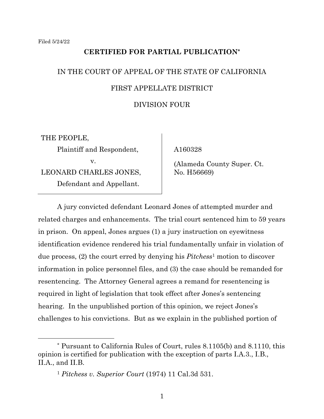# **CERTIFIED FOR PARTIAL PUBLICATION\***

# IN THE COURT OF APPEAL OF THE STATE OF CALIFORNIA FIRST APPELLATE DISTRICT DIVISION FOUR

THE PEOPLE, Plaintiff and Respondent, v. LEONARD CHARLES JONES, Defendant and Appellant.

A160328

(Alameda County Super. Ct. No. H56669)

A jury convicted defendant Leonard Jones of attempted murder and related charges and enhancements. The trial court sentenced him to 59 years in prison. On appeal, Jones argues (1) a jury instruction on eyewitness identification evidence rendered his trial fundamentally unfair in violation of due process, (2) the court erred by denying his *Pitchess*<sup>1</sup> motion to discover information in police personnel files, and (3) the case should be remanded for resentencing. The Attorney General agrees a remand for resentencing is required in light of legislation that took effect after Jones's sentencing hearing. In the unpublished portion of this opinion, we reject Jones's challenges to his convictions. But as we explain in the published portion of

<sup>\*</sup> Pursuant to California Rules of Court, rules 8.1105(b) and 8.1110, this opinion is certified for publication with the exception of parts I.A.3., I.B., II.A., and II.B.

<sup>1</sup> *Pitchess v. Superior Court* (1974) 11 Cal.3d 531.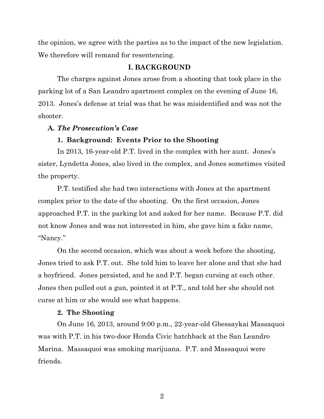the opinion, we agree with the parties as to the impact of the new legislation. We therefore will remand for resentencing.

# **I. BACKGROUND**

The charges against Jones arose from a shooting that took place in the parking lot of a San Leandro apartment complex on the evening of June 16, 2013. Jones's defense at trial was that he was misidentified and was not the shooter.

# **A.** *The Prosecution's Case*

#### **1. Background: Events Prior to the Shooting**

In 2013, 16-year-old P.T. lived in the complex with her aunt. Jones's sister, Lyndetta Jones, also lived in the complex, and Jones sometimes visited the property.

P.T. testified she had two interactions with Jones at the apartment complex prior to the date of the shooting. On the first occasion, Jones approached P.T. in the parking lot and asked for her name. Because P.T. did not know Jones and was not interested in him, she gave him a fake name, "Nancy."

On the second occasion, which was about a week before the shooting, Jones tried to ask P.T. out. She told him to leave her alone and that she had a boyfriend. Jones persisted, and he and P.T. began cursing at each other. Jones then pulled out a gun, pointed it at P.T., and told her she should not curse at him or she would see what happens.

#### **2. The Shooting**

On June 16, 2013, around 9:00 p.m., 22-year-old Gbessaykai Massaquoi was with P.T. in his two-door Honda Civic hatchback at the San Leandro Marina. Massaquoi was smoking marijuana. P.T. and Massaquoi were friends.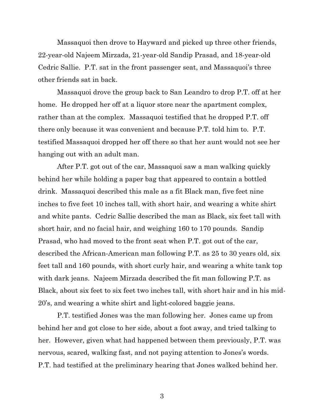Massaquoi then drove to Hayward and picked up three other friends, 22-year-old Najeem Mirzada, 21-year-old Sandip Prasad, and 18-year-old Cedric Sallie. P.T. sat in the front passenger seat, and Massaquoi's three other friends sat in back.

Massaquoi drove the group back to San Leandro to drop P.T. off at her home. He dropped her off at a liquor store near the apartment complex, rather than at the complex. Massaquoi testified that he dropped P.T. off there only because it was convenient and because P.T. told him to. P.T. testified Massaquoi dropped her off there so that her aunt would not see her hanging out with an adult man.

After P.T. got out of the car, Massaquoi saw a man walking quickly behind her while holding a paper bag that appeared to contain a bottled drink. Massaquoi described this male as a fit Black man, five feet nine inches to five feet 10 inches tall, with short hair, and wearing a white shirt and white pants. Cedric Sallie described the man as Black, six feet tall with short hair, and no facial hair, and weighing 160 to 170 pounds. Sandip Prasad, who had moved to the front seat when P.T. got out of the car, described the African-American man following P.T. as 25 to 30 years old, six feet tall and 160 pounds, with short curly hair, and wearing a white tank top with dark jeans. Najeem Mirzada described the fit man following P.T. as Black, about six feet to six feet two inches tall, with short hair and in his mid-20's, and wearing a white shirt and light-colored baggie jeans.

P.T. testified Jones was the man following her. Jones came up from behind her and got close to her side, about a foot away, and tried talking to her. However, given what had happened between them previously, P.T. was nervous, scared, walking fast, and not paying attention to Jones's words. P.T. had testified at the preliminary hearing that Jones walked behind her.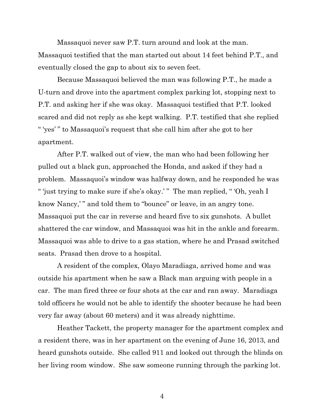Massaquoi never saw P.T. turn around and look at the man. Massaquoi testified that the man started out about 14 feet behind P.T., and eventually closed the gap to about six to seven feet.

Because Massaquoi believed the man was following P.T., he made a U-turn and drove into the apartment complex parking lot, stopping next to P.T. and asking her if she was okay. Massaquoi testified that P.T. looked scared and did not reply as she kept walking. P.T. testified that she replied " 'yes' " to Massaquoi's request that she call him after she got to her apartment.

After P.T. walked out of view, the man who had been following her pulled out a black gun, approached the Honda, and asked if they had a problem. Massaquoi's window was halfway down, and he responded he was " 'just trying to make sure if she's okay.' " The man replied, " 'Oh, yeah I know Nancy," and told them to "bounce" or leave, in an angry tone. Massaquoi put the car in reverse and heard five to six gunshots. A bullet shattered the car window, and Massaquoi was hit in the ankle and forearm. Massaquoi was able to drive to a gas station, where he and Prasad switched seats. Prasad then drove to a hospital.

A resident of the complex, Olayo Maradiaga, arrived home and was outside his apartment when he saw a Black man arguing with people in a car. The man fired three or four shots at the car and ran away. Maradiaga told officers he would not be able to identify the shooter because he had been very far away (about 60 meters) and it was already nighttime.

Heather Tackett, the property manager for the apartment complex and a resident there, was in her apartment on the evening of June 16, 2013, and heard gunshots outside. She called 911 and looked out through the blinds on her living room window. She saw someone running through the parking lot.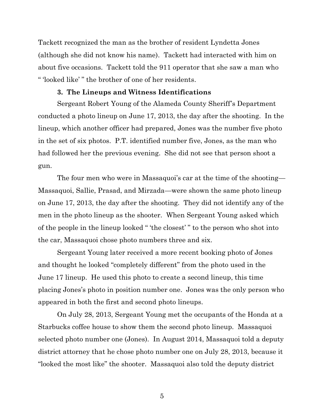Tackett recognized the man as the brother of resident Lyndetta Jones (although she did not know his name). Tackett had interacted with him on about five occasions. Tackett told the 911 operator that she saw a man who " 'looked like' " the brother of one of her residents.

#### **3. The Lineups and Witness Identifications**

Sergeant Robert Young of the Alameda County Sheriff's Department conducted a photo lineup on June 17, 2013, the day after the shooting. In the lineup, which another officer had prepared, Jones was the number five photo in the set of six photos. P.T. identified number five, Jones, as the man who had followed her the previous evening. She did not see that person shoot a gun.

The four men who were in Massaquoi's car at the time of the shooting— Massaquoi, Sallie, Prasad, and Mirzada—were shown the same photo lineup on June 17, 2013, the day after the shooting. They did not identify any of the men in the photo lineup as the shooter. When Sergeant Young asked which of the people in the lineup looked " 'the closest' " to the person who shot into the car, Massaquoi chose photo numbers three and six.

Sergeant Young later received a more recent booking photo of Jones and thought he looked "completely different" from the photo used in the June 17 lineup. He used this photo to create a second lineup, this time placing Jones's photo in position number one. Jones was the only person who appeared in both the first and second photo lineups.

On July 28, 2013, Sergeant Young met the occupants of the Honda at a Starbucks coffee house to show them the second photo lineup. Massaquoi selected photo number one (Jones). In August 2014, Massaquoi told a deputy district attorney that he chose photo number one on July 28, 2013, because it "looked the most like" the shooter. Massaquoi also told the deputy district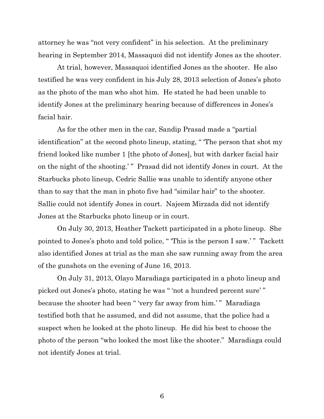attorney he was "not very confident" in his selection. At the preliminary hearing in September 2014, Massaquoi did not identify Jones as the shooter.

At trial, however, Massaquoi identified Jones as the shooter. He also testified he was very confident in his July 28, 2013 selection of Jones's photo as the photo of the man who shot him. He stated he had been unable to identify Jones at the preliminary hearing because of differences in Jones's facial hair.

As for the other men in the car, Sandip Prasad made a "partial identification" at the second photo lineup, stating, " 'The person that shot my friend looked like number 1 [the photo of Jones], but with darker facial hair on the night of the shooting.' " Prasad did not identify Jones in court. At the Starbucks photo lineup, Cedric Sallie was unable to identify anyone other than to say that the man in photo five had "similar hair" to the shooter. Sallie could not identify Jones in court. Najeem Mirzada did not identify Jones at the Starbucks photo lineup or in court.

On July 30, 2013, Heather Tackett participated in a photo lineup. She pointed to Jones's photo and told police, "This is the person I saw.'" Tackett also identified Jones at trial as the man she saw running away from the area of the gunshots on the evening of June 16, 2013.

On July 31, 2013, Olayo Maradiaga participated in a photo lineup and picked out Jones's photo, stating he was " 'not a hundred percent sure' " because the shooter had been " 'very far away from him.' " Maradiaga testified both that he assumed, and did not assume, that the police had a suspect when he looked at the photo lineup. He did his best to choose the photo of the person "who looked the most like the shooter." Maradiaga could not identify Jones at trial.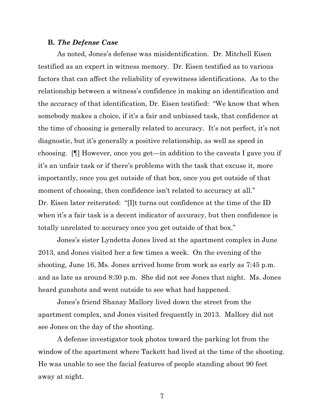#### **B.** *The Defense Case*

As noted, Jones's defense was misidentification. Dr. Mitchell Eisen testified as an expert in witness memory. Dr. Eisen testified as to various factors that can affect the reliability of eyewitness identifications. As to the relationship between a witness's confidence in making an identification and the accuracy of that identification, Dr. Eisen testified: "We know that when somebody makes a choice, if it's a fair and unbiased task, that confidence at the time of choosing is generally related to accuracy. It's not perfect, it's not diagnostic, but it's generally a positive relationship, as well as speed in choosing. [¶] However, once you get—in addition to the caveats I gave you if it's an unfair task or if there's problems with the task that excuse it, more importantly, once you get outside of that box, once you get outside of that moment of choosing, then confidence isn't related to accuracy at all." Dr. Eisen later reiterated: "[I]t turns out confidence at the time of the ID when it's a fair task is a decent indicator of accuracy, but then confidence is totally unrelated to accuracy once you get outside of that box."

Jones's sister Lyndetta Jones lived at the apartment complex in June 2013, and Jones visited her a few times a week. On the evening of the shooting, June 16, Ms. Jones arrived home from work as early as 7:45 p.m. and as late as around 8:30 p.m. She did not see Jones that night. Ms. Jones heard gunshots and went outside to see what had happened.

Jones's friend Shanay Mallory lived down the street from the apartment complex, and Jones visited frequently in 2013. Mallory did not see Jones on the day of the shooting.

A defense investigator took photos toward the parking lot from the window of the apartment where Tackett had lived at the time of the shooting. He was unable to see the facial features of people standing about 90 feet away at night.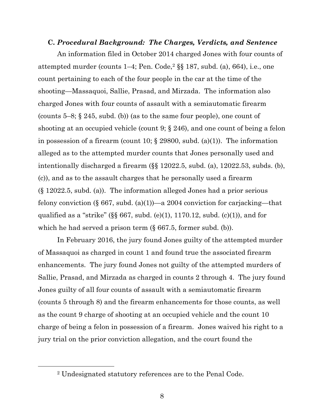#### **C.** *Procedural Background: The Charges, Verdicts, and Sentence*

An information filed in October 2014 charged Jones with four counts of attempted murder (counts  $1-4$ ; Pen. Code,<sup>2</sup>  $\S$  $I$   $187$ , subd. (a), 664), i.e., one count pertaining to each of the four people in the car at the time of the shooting—Massaquoi, Sallie, Prasad, and Mirzada. The information also charged Jones with four counts of assault with a semiautomatic firearm (counts 5–8; § 245, subd. (b)) (as to the same four people), one count of shooting at an occupied vehicle (count 9; § 246), and one count of being a felon in possession of a firearm (count 10;  $\S$  29800, subd. (a)(1)). The information alleged as to the attempted murder counts that Jones personally used and intentionally discharged a firearm (§§ 12022.5, subd. (a), 12022.53, subds. (b), (c)), and as to the assault charges that he personally used a firearm (§ 12022.5, subd. (a)). The information alleged Jones had a prior serious felony conviction (§ 667, subd. (a)(1))—a 2004 conviction for carjacking—that qualified as a "strike" ( $\S$  $667$ , subd. (e)(1), 1170.12, subd. (c)(1)), and for which he had served a prison term  $(\S 667.5, \text{former subd. (b)})$ .

In February 2016, the jury found Jones guilty of the attempted murder of Massaquoi as charged in count 1 and found true the associated firearm enhancements. The jury found Jones not guilty of the attempted murders of Sallie, Prasad, and Mirzada as charged in counts 2 through 4. The jury found Jones guilty of all four counts of assault with a semiautomatic firearm (counts 5 through 8) and the firearm enhancements for those counts, as well as the count 9 charge of shooting at an occupied vehicle and the count 10 charge of being a felon in possession of a firearm. Jones waived his right to a jury trial on the prior conviction allegation, and the court found the

<sup>2</sup> Undesignated statutory references are to the Penal Code.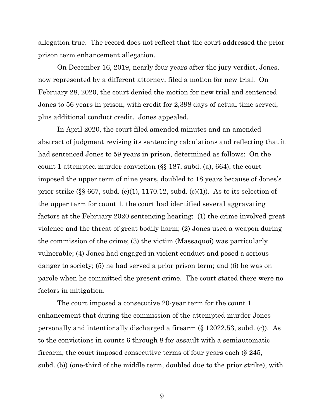allegation true. The record does not reflect that the court addressed the prior prison term enhancement allegation.

On December 16, 2019, nearly four years after the jury verdict, Jones, now represented by a different attorney, filed a motion for new trial. On February 28, 2020, the court denied the motion for new trial and sentenced Jones to 56 years in prison, with credit for 2,398 days of actual time served, plus additional conduct credit. Jones appealed.

In April 2020, the court filed amended minutes and an amended abstract of judgment revising its sentencing calculations and reflecting that it had sentenced Jones to 59 years in prison, determined as follows: On the count 1 attempted murder conviction (§§ 187, subd. (a), 664), the court imposed the upper term of nine years, doubled to 18 years because of Jones's prior strike  $(\S \S 667, \text{subd.} (e)(1), 1170.12, \text{subd.} (c)(1)).$  As to its selection of the upper term for count 1, the court had identified several aggravating factors at the February 2020 sentencing hearing: (1) the crime involved great violence and the threat of great bodily harm; (2) Jones used a weapon during the commission of the crime; (3) the victim (Massaquoi) was particularly vulnerable; (4) Jones had engaged in violent conduct and posed a serious danger to society; (5) he had served a prior prison term; and (6) he was on parole when he committed the present crime. The court stated there were no factors in mitigation.

The court imposed a consecutive 20-year term for the count 1 enhancement that during the commission of the attempted murder Jones personally and intentionally discharged a firearm (§ 12022.53, subd. (c)). As to the convictions in counts 6 through 8 for assault with a semiautomatic firearm, the court imposed consecutive terms of four years each (§ 245, subd. (b)) (one-third of the middle term, doubled due to the prior strike), with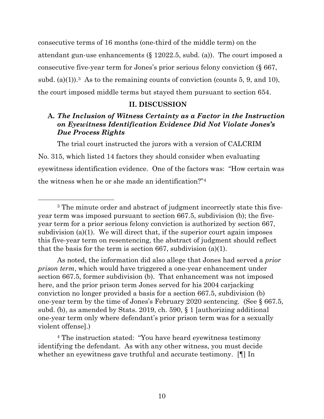consecutive terms of 16 months (one-third of the middle term) on the attendant gun-use enhancements (§ 12022.5, subd. (a)). The court imposed a consecutive five-year term for Jones's prior serious felony conviction (§ 667, subd. (a)(1)).<sup>3</sup> As to the remaining counts of conviction (counts 5, 9, and 10), the court imposed middle terms but stayed them pursuant to section 654.

# **II. DISCUSSION**

# **A.** *The Inclusion of Witness Certainty as a Factor in the Instruction on Eyewitness Identification Evidence Did Not Violate Jones's Due Process Rights*

The trial court instructed the jurors with a version of CALCRIM No. 315, which listed 14 factors they should consider when evaluating eyewitness identification evidence. One of the factors was: "How certain was the witness when he or she made an identification?"<sup>4</sup>

<sup>&</sup>lt;sup>3</sup> The minute order and abstract of judgment incorrectly state this fiveyear term was imposed pursuant to section 667.5, subdivision (b); the fiveyear term for a prior serious felony conviction is authorized by section 667, subdivision (a)(1). We will direct that, if the superior court again imposes this five-year term on resentencing, the abstract of judgment should reflect that the basis for the term is section 667, subdivision  $(a)(1)$ .

As noted, the information did also allege that Jones had served a *prior prison term*, which would have triggered a one-year enhancement under section 667.5, former subdivision (b). That enhancement was not imposed here, and the prior prison term Jones served for his 2004 carjacking conviction no longer provided a basis for a section 667.5, subdivision (b) one-year term by the time of Jones's February 2020 sentencing. (See § 667.5, subd. (b), as amended by Stats. 2019, ch. 590, § 1 [authorizing additional one-year term only where defendant's prior prison term was for a sexually violent offense].)

<sup>4</sup> The instruction stated: "You have heard eyewitness testimony identifying the defendant. As with any other witness, you must decide whether an eyewitness gave truthful and accurate testimony. [¶] In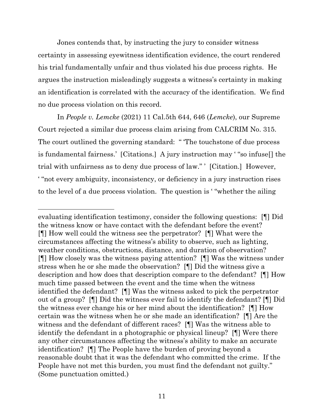Jones contends that, by instructing the jury to consider witness certainty in assessing eyewitness identification evidence, the court rendered his trial fundamentally unfair and thus violated his due process rights. He argues the instruction misleadingly suggests a witness's certainty in making an identification is correlated with the accuracy of the identification. We find no due process violation on this record.

In *People v. Lemcke* (2021) 11 Cal.5th 644, 646 (*Lemcke*), our Supreme Court rejected a similar due process claim arising from CALCRIM No. 315. The court outlined the governing standard: " 'The touchstone of due process is fundamental fairness.' [Citations.] A jury instruction may ' "so infuse[] the trial with unfairness as to deny due process of law." ' [Citation.] However, ' "not every ambiguity, inconsistency, or deficiency in a jury instruction rises to the level of a due process violation. The question is ' "whether the ailing

evaluating identification testimony, consider the following questions: [¶] Did the witness know or have contact with the defendant before the event? [¶] How well could the witness see the perpetrator? [¶] What were the circumstances affecting the witness's ability to observe, such as lighting, weather conditions, obstructions, distance, and duration of observation? [¶] How closely was the witness paying attention? [¶] Was the witness under stress when he or she made the observation? [¶] Did the witness give a description and how does that description compare to the defendant? [¶] How much time passed between the event and the time when the witness identified the defendant? [¶] Was the witness asked to pick the perpetrator out of a group? [¶] Did the witness ever fail to identify the defendant? [¶] Did the witness ever change his or her mind about the identification? [¶] How certain was the witness when he or she made an identification? [¶] Are the witness and the defendant of different races? [¶] Was the witness able to identify the defendant in a photographic or physical lineup? [¶] Were there any other circumstances affecting the witness's ability to make an accurate identification? [¶] The People have the burden of proving beyond a reasonable doubt that it was the defendant who committed the crime. If the People have not met this burden, you must find the defendant not guilty." (Some punctuation omitted.)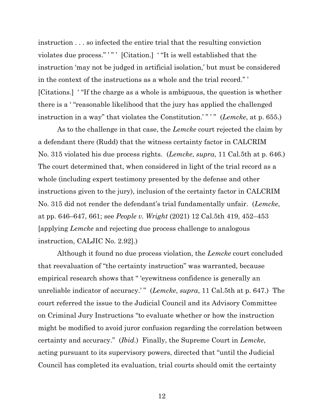instruction . . . so infected the entire trial that the resulting conviction violates due process.""" [Citation.] "It is well established that the instruction 'may not be judged in artificial isolation,' but must be considered in the context of the instructions as a whole and the trial record." ' [Citations.] ' "If the charge as a whole is ambiguous, the question is whether there is a ' "reasonable likelihood that the jury has applied the challenged instruction in a way" that violates the Constitution.'" " (*Lemcke*, at p. 655.)

As to the challenge in that case, the *Lemcke* court rejected the claim by a defendant there (Rudd) that the witness certainty factor in CALCRIM No. 315 violated his due process rights. (*Lemcke*, *supra*, 11 Cal.5th at p. 646.) The court determined that, when considered in light of the trial record as a whole (including expert testimony presented by the defense and other instructions given to the jury), inclusion of the certainty factor in CALCRIM No. 315 did not render the defendant's trial fundamentally unfair. (*Lemcke*, at pp. 646–647, 661; see *People v. Wright* (2021) 12 Cal.5th 419, 452–453 [applying *Lemcke* and rejecting due process challenge to analogous instruction, CALJIC No. 2.92].)

Although it found no due process violation, the *Lemcke* court concluded that reevaluation of "the certainty instruction" was warranted, because empirical research shows that " 'eyewitness confidence is generally an unreliable indicator of accuracy.'" (*Lemcke*, *supra*, 11 Cal.5th at p. 647.) The court referred the issue to the Judicial Council and its Advisory Committee on Criminal Jury Instructions "to evaluate whether or how the instruction might be modified to avoid juror confusion regarding the correlation between certainty and accuracy." (*Ibid.*) Finally, the Supreme Court in *Lemcke*, acting pursuant to its supervisory powers, directed that "until the Judicial Council has completed its evaluation, trial courts should omit the certainty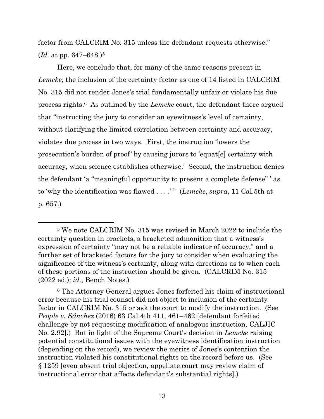factor from CALCRIM No. 315 unless the defendant requests otherwise." (*Id.* at pp. 647–648.)<sup>5</sup>

Here, we conclude that, for many of the same reasons present in *Lemcke*, the inclusion of the certainty factor as one of 14 listed in CALCRIM No. 315 did not render Jones's trial fundamentally unfair or violate his due process rights.6 As outlined by the *Lemcke* court, the defendant there argued that "instructing the jury to consider an eyewitness's level of certainty, without clarifying the limited correlation between certainty and accuracy, violates due process in two ways. First, the instruction 'lowers the prosecution's burden of proof' by causing jurors to 'equat[e] certainty with accuracy, when science establishes otherwise.' Second, the instruction denies the defendant 'a "meaningful opportunity to present a complete defense" ' as to 'why the identification was flawed . . . .' " (*Lemcke*, *supra*, 11 Cal.5th at p. 657.)

<sup>5</sup> We note CALCRIM No. 315 was revised in March 2022 to include the certainty question in brackets, a bracketed admonition that a witness's expression of certainty "may not be a reliable indicator of accuracy," and a further set of bracketed factors for the jury to consider when evaluating the significance of the witness's certainty, along with directions as to when each of these portions of the instruction should be given. (CALCRIM No. 315 (2022 ed.); *id.*, Bench Notes.)

<sup>6</sup> The Attorney General argues Jones forfeited his claim of instructional error because his trial counsel did not object to inclusion of the certainty factor in CALCRIM No. 315 or ask the court to modify the instruction. (See *People v. Sánchez* (2016) 63 Cal.4th 411, 461–462 [defendant forfeited challenge by not requesting modification of analogous instruction, CALJIC No. 2.92].) But in light of the Supreme Court's decision in *Lemcke* raising potential constitutional issues with the eyewitness identification instruction (depending on the record), we review the merits of Jones's contention the instruction violated his constitutional rights on the record before us. (See § 1259 [even absent trial objection, appellate court may review claim of instructional error that affects defendant's substantial rights].)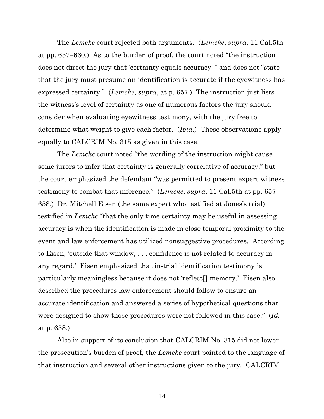The *Lemcke* court rejected both arguments. (*Lemcke*, *supra*, 11 Cal.5th at pp. 657–660.) As to the burden of proof, the court noted "the instruction does not direct the jury that 'certainty equals accuracy' " and does not "state that the jury must presume an identification is accurate if the eyewitness has expressed certainty." (*Lemcke*, *supra*, at p. 657.) The instruction just lists the witness's level of certainty as one of numerous factors the jury should consider when evaluating eyewitness testimony, with the jury free to determine what weight to give each factor. (*Ibid.*) These observations apply equally to CALCRIM No. 315 as given in this case.

The *Lemcke* court noted "the wording of the instruction might cause some jurors to infer that certainty is generally correlative of accuracy," but the court emphasized the defendant "was permitted to present expert witness testimony to combat that inference." (*Lemcke*, *supra*, 11 Cal.5th at pp. 657– 658.) Dr. Mitchell Eisen (the same expert who testified at Jones's trial) testified in *Lemcke* "that the only time certainty may be useful in assessing accuracy is when the identification is made in close temporal proximity to the event and law enforcement has utilized nonsuggestive procedures. According to Eisen, 'outside that window, . . . confidence is not related to accuracy in any regard.' Eisen emphasized that in-trial identification testimony is particularly meaningless because it does not 'reflect[] memory.' Eisen also described the procedures law enforcement should follow to ensure an accurate identification and answered a series of hypothetical questions that were designed to show those procedures were not followed in this case." (*Id.* at p. 658.)

Also in support of its conclusion that CALCRIM No. 315 did not lower the prosecution's burden of proof, the *Lemcke* court pointed to the language of that instruction and several other instructions given to the jury. CALCRIM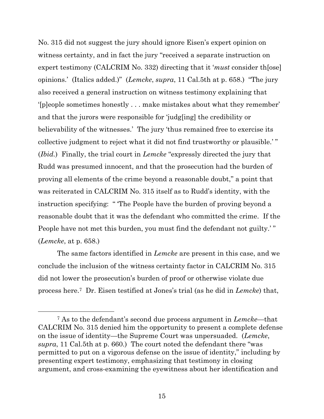No. 315 did not suggest the jury should ignore Eisen's expert opinion on witness certainty, and in fact the jury "received a separate instruction on expert testimony (CALCRIM No. 332) directing that it '*must* consider th[ose] opinions.' (Italics added.)" (*Lemcke*, *supra*, 11 Cal.5th at p. 658.) "The jury also received a general instruction on witness testimony explaining that '[p]eople sometimes honestly . . . make mistakes about what they remember' and that the jurors were responsible for 'judg[ing] the credibility or believability of the witnesses.' The jury 'thus remained free to exercise its collective judgment to reject what it did not find trustworthy or plausible.' " (*Ibid.*) Finally, the trial court in *Lemcke* "expressly directed the jury that Rudd was presumed innocent, and that the prosecution had the burden of proving all elements of the crime beyond a reasonable doubt," a point that was reiterated in CALCRIM No. 315 itself as to Rudd's identity, with the instruction specifying: " 'The People have the burden of proving beyond a reasonable doubt that it was the defendant who committed the crime. If the People have not met this burden, you must find the defendant not guilty.'" (*Lemcke*, at p. 658.)

The same factors identified in *Lemcke* are present in this case, and we conclude the inclusion of the witness certainty factor in CALCRIM No. 315 did not lower the prosecution's burden of proof or otherwise violate due process here.7 Dr. Eisen testified at Jones's trial (as he did in *Lemcke*) that,

<sup>7</sup> As to the defendant's second due process argument in *Lemcke*—that CALCRIM No. 315 denied him the opportunity to present a complete defense on the issue of identity—the Supreme Court was unpersuaded. (*Lemcke*, *supra*, 11 Cal.5th at p. 660.) The court noted the defendant there "was permitted to put on a vigorous defense on the issue of identity," including by presenting expert testimony, emphasizing that testimony in closing argument, and cross-examining the eyewitness about her identification and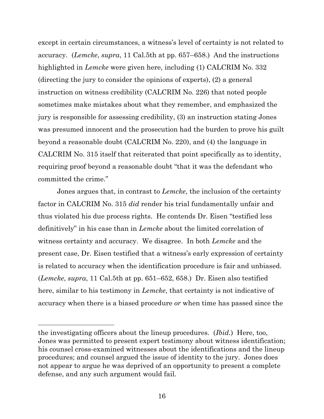except in certain circumstances, a witness's level of certainty is not related to accuracy. (*Lemcke*, *supra*, 11 Cal.5th at pp. 657–658.) And the instructions highlighted in *Lemcke* were given here, including (1) CALCRIM No. 332 (directing the jury to consider the opinions of experts), (2) a general instruction on witness credibility (CALCRIM No. 226) that noted people sometimes make mistakes about what they remember, and emphasized the jury is responsible for assessing credibility, (3) an instruction stating Jones was presumed innocent and the prosecution had the burden to prove his guilt beyond a reasonable doubt (CALCRIM No. 220), and (4) the language in CALCRIM No. 315 itself that reiterated that point specifically as to identity, requiring proof beyond a reasonable doubt "that it was the defendant who committed the crime."

Jones argues that, in contrast to *Lemcke*, the inclusion of the certainty factor in CALCRIM No. 315 *did* render his trial fundamentally unfair and thus violated his due process rights. He contends Dr. Eisen "testified less definitively" in his case than in *Lemcke* about the limited correlation of witness certainty and accuracy. We disagree. In both *Lemcke* and the present case, Dr. Eisen testified that a witness's early expression of certainty is related to accuracy when the identification procedure is fair and unbiased. (*Lemcke*, *supra*, 11 Cal.5th at pp. 651–652, 658.) Dr. Eisen also testified here, similar to his testimony in *Lemcke*, that certainty is not indicative of accuracy when there is a biased procedure *or* when time has passed since the

the investigating officers about the lineup procedures. (*Ibid.*) Here, too, Jones was permitted to present expert testimony about witness identification; his counsel cross-examined witnesses about the identifications and the lineup procedures; and counsel argued the issue of identity to the jury. Jones does not appear to argue he was deprived of an opportunity to present a complete defense, and any such argument would fail.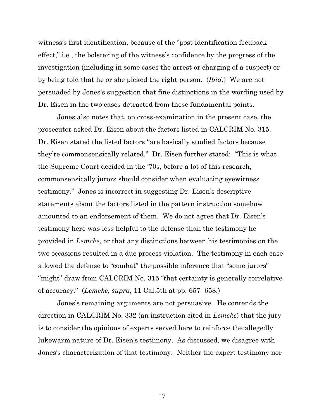witness's first identification, because of the "post identification feedback effect," i.e., the bolstering of the witness's confidence by the progress of the investigation (including in some cases the arrest or charging of a suspect) or by being told that he or she picked the right person. (*Ibid.*) We are not persuaded by Jones's suggestion that fine distinctions in the wording used by Dr. Eisen in the two cases detracted from these fundamental points.

Jones also notes that, on cross-examination in the present case, the prosecutor asked Dr. Eisen about the factors listed in CALCRIM No. 315. Dr. Eisen stated the listed factors "are basically studied factors because they're commonsensically related." Dr. Eisen further stated: "This is what the Supreme Court decided in the '70s, before a lot of this research, commonsensically jurors should consider when evaluating eyewitness testimony." Jones is incorrect in suggesting Dr. Eisen's descriptive statements about the factors listed in the pattern instruction somehow amounted to an endorsement of them. We do not agree that Dr. Eisen's testimony here was less helpful to the defense than the testimony he provided in *Lemcke*, or that any distinctions between his testimonies on the two occasions resulted in a due process violation. The testimony in each case allowed the defense to "combat" the possible inference that "some jurors" "might" draw from CALCRIM No. 315 "that certainty is generally correlative of accuracy." (*Lemcke*, *supra*, 11 Cal.5th at pp. 657–658.)

Jones's remaining arguments are not persuasive. He contends the direction in CALCRIM No. 332 (an instruction cited in *Lemcke*) that the jury is to consider the opinions of experts served here to reinforce the allegedly lukewarm nature of Dr. Eisen's testimony. As discussed, we disagree with Jones's characterization of that testimony. Neither the expert testimony nor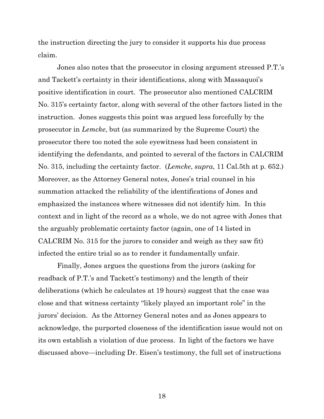the instruction directing the jury to consider it supports his due process claim.

Jones also notes that the prosecutor in closing argument stressed P.T.'s and Tackett's certainty in their identifications, along with Massaquoi's positive identification in court. The prosecutor also mentioned CALCRIM No. 315's certainty factor, along with several of the other factors listed in the instruction. Jones suggests this point was argued less forcefully by the prosecutor in *Lemcke*, but (as summarized by the Supreme Court) the prosecutor there too noted the sole eyewitness had been consistent in identifying the defendants, and pointed to several of the factors in CALCRIM No. 315, including the certainty factor. (*Lemcke*, *supra*, 11 Cal.5th at p. 652.) Moreover, as the Attorney General notes, Jones's trial counsel in his summation attacked the reliability of the identifications of Jones and emphasized the instances where witnesses did not identify him. In this context and in light of the record as a whole, we do not agree with Jones that the arguably problematic certainty factor (again, one of 14 listed in CALCRIM No. 315 for the jurors to consider and weigh as they saw fit) infected the entire trial so as to render it fundamentally unfair.

Finally, Jones argues the questions from the jurors (asking for readback of P.T.'s and Tackett's testimony) and the length of their deliberations (which he calculates at 19 hours) suggest that the case was close and that witness certainty "likely played an important role" in the jurors' decision. As the Attorney General notes and as Jones appears to acknowledge, the purported closeness of the identification issue would not on its own establish a violation of due process. In light of the factors we have discussed above—including Dr. Eisen's testimony, the full set of instructions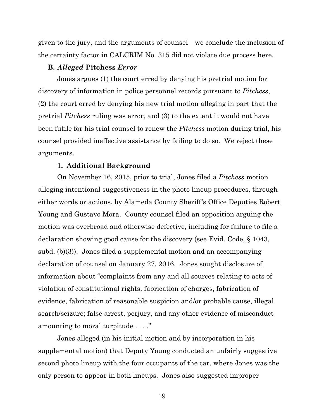given to the jury, and the arguments of counsel—we conclude the inclusion of the certainty factor in CALCRIM No. 315 did not violate due process here.

## **B.** *Alleged* **Pitchess** *Error*

Jones argues (1) the court erred by denying his pretrial motion for discovery of information in police personnel records pursuant to *Pitchess*, (2) the court erred by denying his new trial motion alleging in part that the pretrial *Pitchess* ruling was error, and (3) to the extent it would not have been futile for his trial counsel to renew the *Pitchess* motion during trial, his counsel provided ineffective assistance by failing to do so. We reject these arguments.

### **1. Additional Background**

On November 16, 2015, prior to trial, Jones filed a *Pitchess* motion alleging intentional suggestiveness in the photo lineup procedures, through either words or actions, by Alameda County Sheriff's Office Deputies Robert Young and Gustavo Mora. County counsel filed an opposition arguing the motion was overbroad and otherwise defective, including for failure to file a declaration showing good cause for the discovery (see Evid. Code, § 1043, subd. (b)(3)). Jones filed a supplemental motion and an accompanying declaration of counsel on January 27, 2016. Jones sought disclosure of information about "complaints from any and all sources relating to acts of violation of constitutional rights, fabrication of charges, fabrication of evidence, fabrication of reasonable suspicion and/or probable cause, illegal search/seizure; false arrest, perjury, and any other evidence of misconduct amounting to moral turpitude . . . ."

Jones alleged (in his initial motion and by incorporation in his supplemental motion) that Deputy Young conducted an unfairly suggestive second photo lineup with the four occupants of the car, where Jones was the only person to appear in both lineups. Jones also suggested improper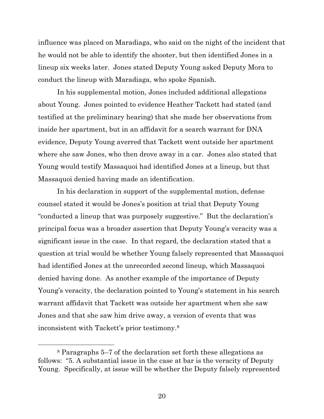influence was placed on Maradiaga, who said on the night of the incident that he would not be able to identify the shooter, but then identified Jones in a lineup six weeks later. Jones stated Deputy Young asked Deputy Mora to conduct the lineup with Maradiaga, who spoke Spanish.

In his supplemental motion, Jones included additional allegations about Young. Jones pointed to evidence Heather Tackett had stated (and testified at the preliminary hearing) that she made her observations from inside her apartment, but in an affidavit for a search warrant for DNA evidence, Deputy Young averred that Tackett went outside her apartment where she saw Jones, who then drove away in a car. Jones also stated that Young would testify Massaquoi had identified Jones at a lineup, but that Massaquoi denied having made an identification.

In his declaration in support of the supplemental motion, defense counsel stated it would be Jones's position at trial that Deputy Young "conducted a lineup that was purposely suggestive." But the declaration's principal focus was a broader assertion that Deputy Young's veracity was a significant issue in the case. In that regard, the declaration stated that a question at trial would be whether Young falsely represented that Massaquoi had identified Jones at the unrecorded second lineup, which Massaquoi denied having done. As another example of the importance of Deputy Young's veracity, the declaration pointed to Young's statement in his search warrant affidavit that Tackett was outside her apartment when she saw Jones and that she saw him drive away, a version of events that was inconsistent with Tackett's prior testimony.<sup>8</sup>

<sup>8</sup> Paragraphs 5–7 of the declaration set forth these allegations as follows: "5. A substantial issue in the case at bar is the veracity of Deputy Young. Specifically, at issue will be whether the Deputy falsely represented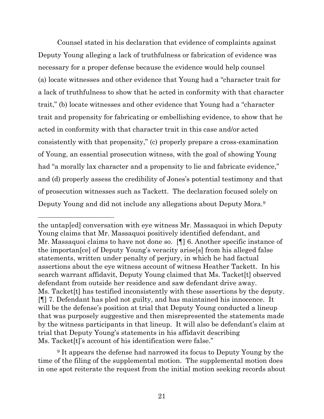Counsel stated in his declaration that evidence of complaints against Deputy Young alleging a lack of truthfulness or fabrication of evidence was necessary for a proper defense because the evidence would help counsel (a) locate witnesses and other evidence that Young had a "character trait for a lack of truthfulness to show that he acted in conformity with that character trait," (b) locate witnesses and other evidence that Young had a "character trait and propensity for fabricating or embellishing evidence, to show that he acted in conformity with that character trait in this case and/or acted consistently with that propensity," (c) properly prepare a cross-examination of Young, an essential prosecution witness, with the goal of showing Young had "a morally lax character and a propensity to lie and fabricate evidence," and (d) properly assess the credibility of Jones's potential testimony and that of prosecution witnesses such as Tackett. The declaration focused solely on Deputy Young and did not include any allegations about Deputy Mora.<sup>9</sup>

<sup>9</sup> It appears the defense had narrowed its focus to Deputy Young by the time of the filing of the supplemental motion. The supplemental motion does in one spot reiterate the request from the initial motion seeking records about

the untap[ed] conversation with eye witness Mr. Massaquoi in which Deputy Young claims that Mr. Massaquoi positively identified defendant, and Mr. Massaquoi claims to have not done so. [¶] 6. Another specific instance of the importan[ce] of Deputy Young's veracity arise[s] from his alleged false statements, written under penalty of perjury, in which he had factual assertions about the eye witness account of witness Heather Tackett. In his search warrant affidavit, Deputy Young claimed that Ms. Tacket[t] observed defendant from outside her residence and saw defendant drive away. Ms. Tacket[t] has testified inconsistently with these assertions by the deputy. [¶] 7. Defendant has pled not guilty, and has maintained his innocence. It will be the defense's position at trial that Deputy Young conducted a lineup that was purposely suggestive and then misrepresented the statements made by the witness participants in that lineup. It will also be defendant's claim at trial that Deputy Young's statements in his affidavit describing Ms. Tacket[t]'s account of his identification were false."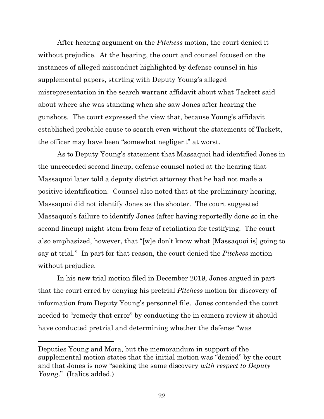After hearing argument on the *Pitchess* motion, the court denied it without prejudice. At the hearing, the court and counsel focused on the instances of alleged misconduct highlighted by defense counsel in his supplemental papers, starting with Deputy Young's alleged misrepresentation in the search warrant affidavit about what Tackett said about where she was standing when she saw Jones after hearing the gunshots. The court expressed the view that, because Young's affidavit established probable cause to search even without the statements of Tackett, the officer may have been "somewhat negligent" at worst.

As to Deputy Young's statement that Massaquoi had identified Jones in the unrecorded second lineup, defense counsel noted at the hearing that Massaquoi later told a deputy district attorney that he had not made a positive identification. Counsel also noted that at the preliminary hearing, Massaquoi did not identify Jones as the shooter. The court suggested Massaquoi's failure to identify Jones (after having reportedly done so in the second lineup) might stem from fear of retaliation for testifying. The court also emphasized, however, that "[w]e don't know what [Massaquoi is] going to say at trial." In part for that reason, the court denied the *Pitchess* motion without prejudice.

In his new trial motion filed in December 2019, Jones argued in part that the court erred by denying his pretrial *Pitchess* motion for discovery of information from Deputy Young's personnel file. Jones contended the court needed to "remedy that error" by conducting the in camera review it should have conducted pretrial and determining whether the defense "was

Deputies Young and Mora, but the memorandum in support of the supplemental motion states that the initial motion was "denied" by the court and that Jones is now "seeking the same discovery *with respect to Deputy Young*." (Italics added.)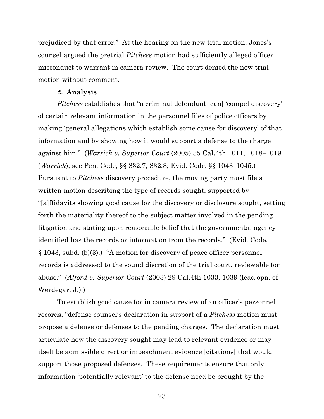prejudiced by that error." At the hearing on the new trial motion, Jones's counsel argued the pretrial *Pitchess* motion had sufficiently alleged officer misconduct to warrant in camera review. The court denied the new trial motion without comment.

#### **2. Analysis**

*Pitchess* establishes that "a criminal defendant [can] 'compel discovery' of certain relevant information in the personnel files of police officers by making 'general allegations which establish some cause for discovery' of that information and by showing how it would support a defense to the charge against him." (*Warrick v. Superior Court* (2005) 35 Cal.4th 1011, 1018–1019 (*Warrick*); see Pen. Code, §§ 832.7, 832.8; Evid. Code, §§ 1043–1045.) Pursuant to *Pitchess* discovery procedure, the moving party must file a written motion describing the type of records sought, supported by "[a]ffidavits showing good cause for the discovery or disclosure sought, setting forth the materiality thereof to the subject matter involved in the pending litigation and stating upon reasonable belief that the governmental agency identified has the records or information from the records." (Evid. Code, § 1043, subd. (b)(3).) "A motion for discovery of peace officer personnel records is addressed to the sound discretion of the trial court, reviewable for abuse." (*Alford v. Superior Court* (2003) 29 Cal.4th 1033, 1039 (lead opn. of Werdegar, J.).)

To establish good cause for in camera review of an officer's personnel records, "defense counsel's declaration in support of a *Pitchess* motion must propose a defense or defenses to the pending charges. The declaration must articulate how the discovery sought may lead to relevant evidence or may itself be admissible direct or impeachment evidence [citations] that would support those proposed defenses. These requirements ensure that only information 'potentially relevant' to the defense need be brought by the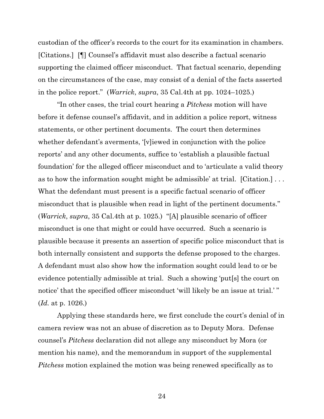custodian of the officer's records to the court for its examination in chambers. [Citations.] [¶] Counsel's affidavit must also describe a factual scenario supporting the claimed officer misconduct. That factual scenario, depending on the circumstances of the case, may consist of a denial of the facts asserted in the police report." (*Warrick*, *supra*, 35 Cal.4th at pp. 1024–1025.)

"In other cases, the trial court hearing a *Pitchess* motion will have before it defense counsel's affidavit, and in addition a police report, witness statements, or other pertinent documents. The court then determines whether defendant's averments, '[v]iewed in conjunction with the police reports' and any other documents, suffice to 'establish a plausible factual foundation' for the alleged officer misconduct and to 'articulate a valid theory as to how the information sought might be admissible' at trial. [Citation.] . . . What the defendant must present is a specific factual scenario of officer misconduct that is plausible when read in light of the pertinent documents." (*Warrick*, *supra*, 35 Cal.4th at p. 1025.) "[A] plausible scenario of officer misconduct is one that might or could have occurred. Such a scenario is plausible because it presents an assertion of specific police misconduct that is both internally consistent and supports the defense proposed to the charges. A defendant must also show how the information sought could lead to or be evidence potentially admissible at trial. Such a showing 'put[s] the court on notice' that the specified officer misconduct 'will likely be an issue at trial.' " (*Id.* at p. 1026.)

Applying these standards here, we first conclude the court's denial of in camera review was not an abuse of discretion as to Deputy Mora. Defense counsel's *Pitchess* declaration did not allege any misconduct by Mora (or mention his name), and the memorandum in support of the supplemental *Pitchess* motion explained the motion was being renewed specifically as to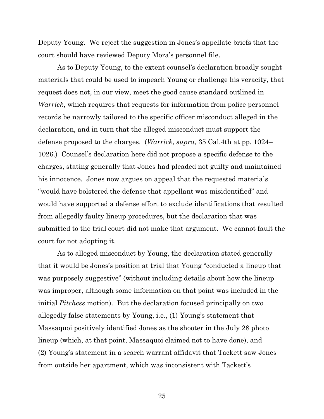Deputy Young. We reject the suggestion in Jones's appellate briefs that the court should have reviewed Deputy Mora's personnel file.

As to Deputy Young, to the extent counsel's declaration broadly sought materials that could be used to impeach Young or challenge his veracity, that request does not, in our view, meet the good cause standard outlined in *Warrick*, which requires that requests for information from police personnel records be narrowly tailored to the specific officer misconduct alleged in the declaration, and in turn that the alleged misconduct must support the defense proposed to the charges. (*Warrick*, *supra*, 35 Cal.4th at pp. 1024– 1026.) Counsel's declaration here did not propose a specific defense to the charges, stating generally that Jones had pleaded not guilty and maintained his innocence. Jones now argues on appeal that the requested materials "would have bolstered the defense that appellant was misidentified" and would have supported a defense effort to exclude identifications that resulted from allegedly faulty lineup procedures, but the declaration that was submitted to the trial court did not make that argument. We cannot fault the court for not adopting it.

As to alleged misconduct by Young, the declaration stated generally that it would be Jones's position at trial that Young "conducted a lineup that was purposely suggestive" (without including details about how the lineup was improper, although some information on that point was included in the initial *Pitchess* motion). But the declaration focused principally on two allegedly false statements by Young, i.e., (1) Young's statement that Massaquoi positively identified Jones as the shooter in the July 28 photo lineup (which, at that point, Massaquoi claimed not to have done), and (2) Young's statement in a search warrant affidavit that Tackett saw Jones from outside her apartment, which was inconsistent with Tackett's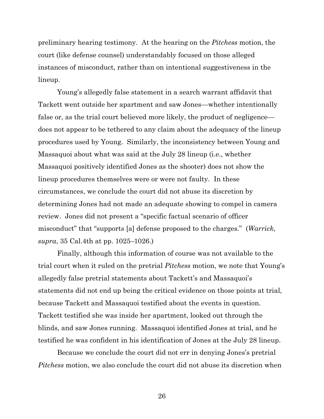preliminary hearing testimony. At the hearing on the *Pitchess* motion, the court (like defense counsel) understandably focused on those alleged instances of misconduct, rather than on intentional suggestiveness in the lineup.

Young's allegedly false statement in a search warrant affidavit that Tackett went outside her apartment and saw Jones—whether intentionally false or, as the trial court believed more likely, the product of negligence does not appear to be tethered to any claim about the adequacy of the lineup procedures used by Young. Similarly, the inconsistency between Young and Massaquoi about what was said at the July 28 lineup (i.e., whether Massaquoi positively identified Jones as the shooter) does not show the lineup procedures themselves were or were not faulty. In these circumstances, we conclude the court did not abuse its discretion by determining Jones had not made an adequate showing to compel in camera review. Jones did not present a "specific factual scenario of officer misconduct" that "supports [a] defense proposed to the charges." (*Warrick*, *supra*, 35 Cal.4th at pp. 1025–1026.)

Finally, although this information of course was not available to the trial court when it ruled on the pretrial *Pitchess* motion, we note that Young's allegedly false pretrial statements about Tackett's and Massaquoi's statements did not end up being the critical evidence on those points at trial, because Tackett and Massaquoi testified about the events in question. Tackett testified she was inside her apartment, looked out through the blinds, and saw Jones running. Massaquoi identified Jones at trial, and he testified he was confident in his identification of Jones at the July 28 lineup.

Because we conclude the court did not err in denying Jones's pretrial *Pitchess* motion, we also conclude the court did not abuse its discretion when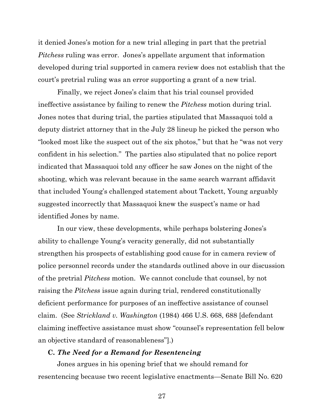it denied Jones's motion for a new trial alleging in part that the pretrial *Pitchess* ruling was error. Jones's appellate argument that information developed during trial supported in camera review does not establish that the court's pretrial ruling was an error supporting a grant of a new trial.

Finally, we reject Jones's claim that his trial counsel provided ineffective assistance by failing to renew the *Pitchess* motion during trial. Jones notes that during trial, the parties stipulated that Massaquoi told a deputy district attorney that in the July 28 lineup he picked the person who "looked most like the suspect out of the six photos," but that he "was not very confident in his selection." The parties also stipulated that no police report indicated that Massaquoi told any officer he saw Jones on the night of the shooting, which was relevant because in the same search warrant affidavit that included Young's challenged statement about Tackett, Young arguably suggested incorrectly that Massaquoi knew the suspect's name or had identified Jones by name.

In our view, these developments, while perhaps bolstering Jones's ability to challenge Young's veracity generally, did not substantially strengthen his prospects of establishing good cause for in camera review of police personnel records under the standards outlined above in our discussion of the pretrial *Pitchess* motion. We cannot conclude that counsel, by not raising the *Pitchess* issue again during trial, rendered constitutionally deficient performance for purposes of an ineffective assistance of counsel claim. (See *Strickland v. Washington* (1984) 466 U.S. 668, 688 [defendant claiming ineffective assistance must show "counsel's representation fell below an objective standard of reasonableness"].)

#### **C.** *The Need for a Remand for Resentencing*

Jones argues in his opening brief that we should remand for resentencing because two recent legislative enactments—Senate Bill No. 620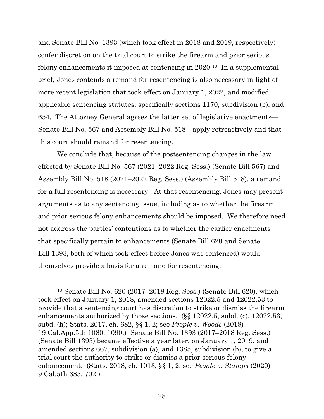and Senate Bill No. 1393 (which took effect in 2018 and 2019, respectively) confer discretion on the trial court to strike the firearm and prior serious felony enhancements it imposed at sentencing in 2020. <sup>10</sup> In a supplemental brief, Jones contends a remand for resentencing is also necessary in light of more recent legislation that took effect on January 1, 2022, and modified applicable sentencing statutes, specifically sections 1170, subdivision (b), and 654. The Attorney General agrees the latter set of legislative enactments— Senate Bill No. 567 and Assembly Bill No. 518—apply retroactively and that this court should remand for resentencing.

We conclude that, because of the postsentencing changes in the law effected by Senate Bill No. 567 (2021–2022 Reg. Sess.) (Senate Bill 567) and Assembly Bill No. 518 (2021–2022 Reg. Sess.) (Assembly Bill 518), a remand for a full resentencing is necessary. At that resentencing, Jones may present arguments as to any sentencing issue, including as to whether the firearm and prior serious felony enhancements should be imposed. We therefore need not address the parties' contentions as to whether the earlier enactments that specifically pertain to enhancements (Senate Bill 620 and Senate Bill 1393, both of which took effect before Jones was sentenced) would themselves provide a basis for a remand for resentencing.

<sup>10</sup> Senate Bill No. 620 (2017–2018 Reg. Sess.) (Senate Bill 620), which took effect on January 1, 2018, amended sections 12022.5 and 12022.53 to provide that a sentencing court has discretion to strike or dismiss the firearm enhancements authorized by those sections. (§§ 12022.5, subd. (c), 12022.53, subd. (h); Stats. 2017, ch. 682, §§ 1, 2; see *People v. Woods* (2018) 19 Cal.App.5th 1080, 1090.) Senate Bill No. 1393 (2017–2018 Reg. Sess.) (Senate Bill 1393) became effective a year later, on January 1, 2019, and amended sections 667, subdivision (a), and 1385, subdivision (b), to give a trial court the authority to strike or dismiss a prior serious felony enhancement. (Stats. 2018, ch. 1013, §§ 1, 2; see *People v. Stamps* (2020) 9 Cal.5th 685, 702.)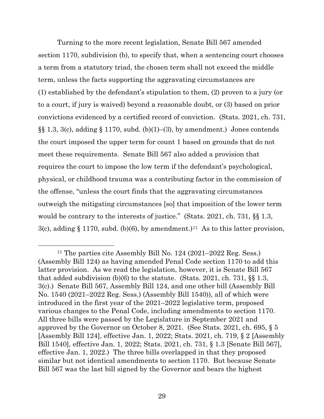Turning to the more recent legislation, Senate Bill 567 amended section 1170, subdivision (b), to specify that, when a sentencing court chooses a term from a statutory triad, the chosen term shall not exceed the middle term, unless the facts supporting the aggravating circumstances are (1) established by the defendant's stipulation to them, (2) proven to a jury (or to a court, if jury is waived) beyond a reasonable doubt, or (3) based on prior convictions evidenced by a certified record of conviction. (Stats. 2021, ch. 731,  $\S\S 1.3, 3(c)$ , adding  $\S 1170$ , subd. (b)(1)–(3), by amendment.) Jones contends the court imposed the upper term for count 1 based on grounds that do not meet these requirements. Senate Bill 567 also added a provision that requires the court to impose the low term if the defendant's psychological, physical, or childhood trauma was a contributing factor in the commission of the offense, "unless the court finds that the aggravating circumstances outweigh the mitigating circumstances [so] that imposition of the lower term would be contrary to the interests of justice." (Stats. 2021, ch. 731, §§ 1.3, 3(c), adding § 1170, subd. (b)(6), by amendment.)<sup>11</sup> As to this latter provision,

<sup>11</sup> The parties cite Assembly Bill No. 124 (2021–2022 Reg. Sess.) (Assembly Bill 124) as having amended Penal Code section 1170 to add this latter provision. As we read the legislation, however, it is Senate Bill 567 that added subdivision (b)(6) to the statute. (Stats. 2021, ch. 731, §§ 1.3, 3(c).) Senate Bill 567, Assembly Bill 124, and one other bill (Assembly Bill No. 1540 (2021–2022 Reg. Sess.) (Assembly Bill 1540)), all of which were introduced in the first year of the 2021–2022 legislative term, proposed various changes to the Penal Code, including amendments to section 1170. All three bills were passed by the Legislature in September 2021 and approved by the Governor on October 8, 2021. (See Stats. 2021, ch. 695, § 5 [Assembly Bill 124], effective Jan. 1, 2022; Stats. 2021, ch. 719, § 2 [Assembly Bill 1540], effective Jan. 1, 2022; Stats. 2021, ch. 731, § 1.3 [Senate Bill 567], effective Jan. 1, 2022.) The three bills overlapped in that they proposed similar but not identical amendments to section 1170. But because Senate Bill 567 was the last bill signed by the Governor and bears the highest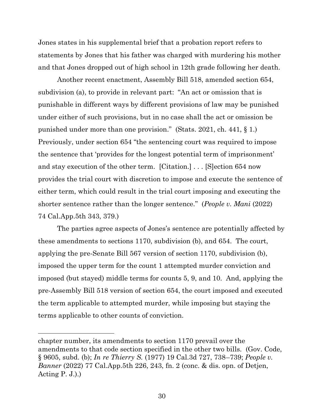Jones states in his supplemental brief that a probation report refers to statements by Jones that his father was charged with murdering his mother and that Jones dropped out of high school in 12th grade following her death.

Another recent enactment, Assembly Bill 518, amended section 654, subdivision (a), to provide in relevant part: "An act or omission that is punishable in different ways by different provisions of law may be punished under either of such provisions, but in no case shall the act or omission be punished under more than one provision." (Stats. 2021, ch. 441, § 1.) Previously, under section 654 "the sentencing court was required to impose the sentence that 'provides for the longest potential term of imprisonment' and stay execution of the other term. [Citation.] . . . [S]ection 654 now provides the trial court with discretion to impose and execute the sentence of either term, which could result in the trial court imposing and executing the shorter sentence rather than the longer sentence." (*People v. Mani* (2022) 74 Cal.App.5th 343, 379.)

The parties agree aspects of Jones's sentence are potentially affected by these amendments to sections 1170, subdivision (b), and 654. The court, applying the pre-Senate Bill 567 version of section 1170, subdivision (b), imposed the upper term for the count 1 attempted murder conviction and imposed (but stayed) middle terms for counts 5, 9, and 10. And, applying the pre-Assembly Bill 518 version of section 654, the court imposed and executed the term applicable to attempted murder, while imposing but staying the terms applicable to other counts of conviction.

chapter number, its amendments to section 1170 prevail over the amendments to that code section specified in the other two bills. (Gov. Code, § 9605, subd. (b); *In re Thierry S.* (1977) 19 Cal.3d 727, 738–739; *People v. Banner* (2022) 77 Cal.App.5th 226, 243, fn. 2 (conc. & dis. opn. of Detjen, Acting  $P. J.$ ).)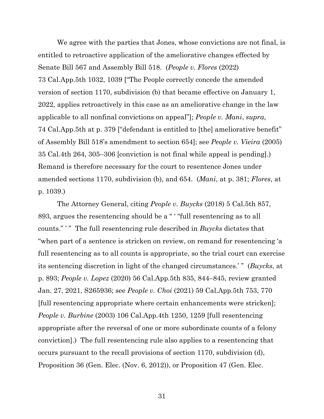We agree with the parties that Jones, whose convictions are not final, is entitled to retroactive application of the ameliorative changes effected by Senate Bill 567 and Assembly Bill 518. (*People v. Flores* (2022) 73 Cal.App.5th 1032, 1039 ["The People correctly concede the amended version of section 1170, subdivision (b) that became effective on January 1, 2022, applies retroactively in this case as an ameliorative change in the law applicable to all nonfinal convictions on appeal"]; *People v. Mani*, *supra*, 74 Cal.App.5th at p. 379 ["defendant is entitled to [the] ameliorative benefit" of Assembly Bill 518's amendment to section 654]; see *People v. Vieira* (2005) 35 Cal.4th 264, 305–306 [conviction is not final while appeal is pending].) Remand is therefore necessary for the court to resentence Jones under amended sections 1170, subdivision (b), and 654. (*Mani*, at p. 381; *Flores*, at p. 1039.)

The Attorney General, citing *People v. Buycks* (2018) 5 Cal.5th 857, 893, argues the resentencing should be a " ' "full resentencing as to all counts." ' " The full resentencing rule described in *Buycks* dictates that "when part of a sentence is stricken on review, on remand for resentencing 'a full resentencing as to all counts is appropriate, so the trial court can exercise its sentencing discretion in light of the changed circumstances.' " (*Buycks*, at p. 893; *People v. Lopez* (2020) 56 Cal.App.5th 835, 844–845, review granted Jan. 27, 2021, S265936; see *People v. Choi* (2021) 59 Cal.App.5th 753, 770 [full resentencing appropriate where certain enhancements were stricken]; *People v. Burbine* (2003) 106 Cal.App.4th 1250, 1259 [full resentencing appropriate after the reversal of one or more subordinate counts of a felony conviction].) The full resentencing rule also applies to a resentencing that occurs pursuant to the recall provisions of section 1170, subdivision (d), Proposition 36 (Gen. Elec. (Nov. 6, 2012)), or Proposition 47 (Gen. Elec.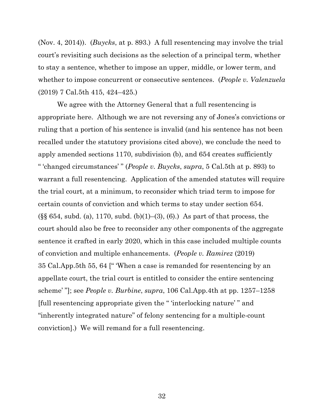(Nov. 4, 2014)). (*Buycks*, at p. 893.) A full resentencing may involve the trial court's revisiting such decisions as the selection of a principal term, whether to stay a sentence, whether to impose an upper, middle, or lower term, and whether to impose concurrent or consecutive sentences. (*People v. Valenzuela* (2019) 7 Cal.5th 415, 424–425.)

We agree with the Attorney General that a full resentencing is appropriate here. Although we are not reversing any of Jones's convictions or ruling that a portion of his sentence is invalid (and his sentence has not been recalled under the statutory provisions cited above), we conclude the need to apply amended sections 1170, subdivision (b), and 654 creates sufficiently " 'changed circumstances' " (*People v. Buycks*, *supra*, 5 Cal.5th at p. 893) to warrant a full resentencing. Application of the amended statutes will require the trial court, at a minimum, to reconsider which triad term to impose for certain counts of conviction and which terms to stay under section 654.  $(\S\ S\ 654, \text{subd. (a)}, 1170, \text{subd. (b)}(1)–(3), (6))$ . As part of that process, the court should also be free to reconsider any other components of the aggregate sentence it crafted in early 2020, which in this case included multiple counts of conviction and multiple enhancements. (*People v. Ramirez* (2019) 35 Cal.App.5th 55, 64 [" 'When a case is remanded for resentencing by an appellate court, the trial court is entitled to consider the entire sentencing scheme' "]; see *People v. Burbine*, *supra*, 106 Cal.App.4th at pp. 1257–1258 [full resentencing appropriate given the " 'interlocking nature' " and "inherently integrated nature" of felony sentencing for a multiple-count conviction].) We will remand for a full resentencing.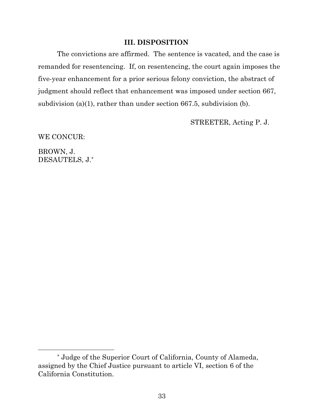# **III. DISPOSITION**

The convictions are affirmed. The sentence is vacated, and the case is remanded for resentencing. If, on resentencing, the court again imposes the five-year enhancement for a prior serious felony conviction, the abstract of judgment should reflect that enhancement was imposed under section 667, subdivision (a)(1), rather than under section 667.5, subdivision (b).

STREETER, Acting P. J.

WE CONCUR:

BROWN, J. DESAUTELS, J.\*

<sup>\*</sup> Judge of the Superior Court of California, County of Alameda, assigned by the Chief Justice pursuant to article VI, section 6 of the California Constitution.